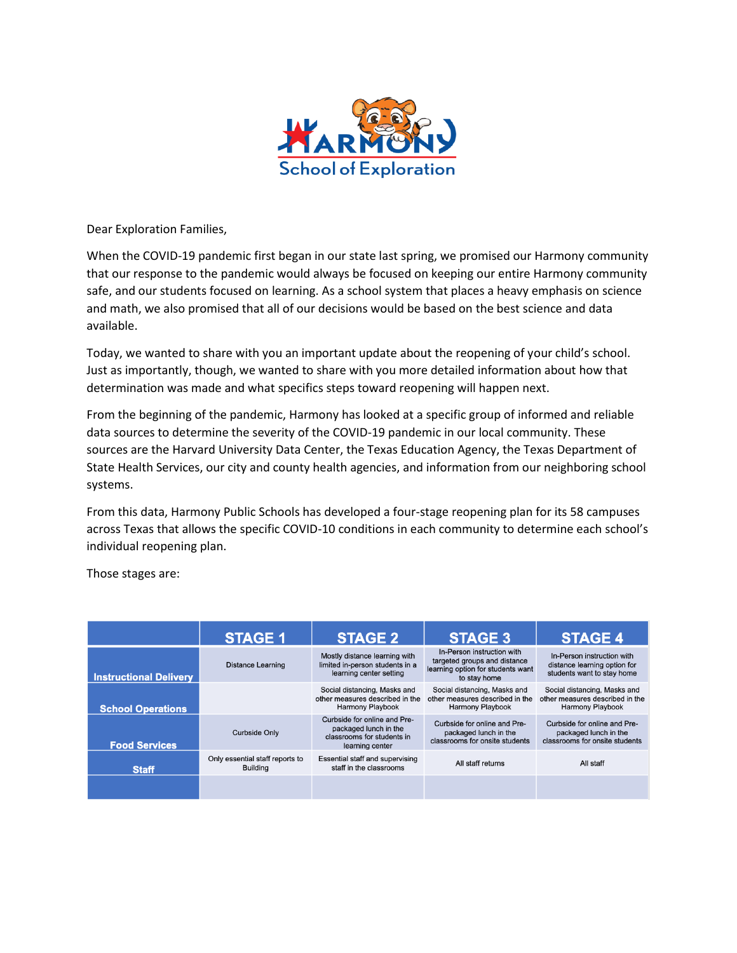

Dear Exploration Families,

When the COVID-19 pandemic first began in our state last spring, we promised our Harmony community that our response to the pandemic would always be focused on keeping our entire Harmony community safe, and our students focused on learning. As a school system that places a heavy emphasis on science and math, we also promised that all of our decisions would be based on the best science and data available.

Today, we wanted to share with you an important update about the reopening of your child's school. Just as importantly, though, we wanted to share with you more detailed information about how that determination was made and what specifics steps toward reopening will happen next.

From the beginning of the pandemic, Harmony has looked at a specific group of informed and reliable data sources to determine the severity of the COVID-19 pandemic in our local community. These sources are the Harvard University Data Center, the Texas Education Agency, the Texas Department of State Health Services, our city and county health agencies, and information from our neighboring school systems.

From this data, Harmony Public Schools has developed a four-stage reopening plan for its 58 campuses across Texas that allows the specific COVID-10 conditions in each community to determine each school's individual reopening plan.

Those stages are:

|                               | <b>STAGE 1</b>                                     | <b>STAGE 2</b>                                                                                         | <b>STAGE 3</b>                                                                                                  | <b>STAGE 4</b>                                                                             |
|-------------------------------|----------------------------------------------------|--------------------------------------------------------------------------------------------------------|-----------------------------------------------------------------------------------------------------------------|--------------------------------------------------------------------------------------------|
| <b>Instructional Delivery</b> | <b>Distance Learning</b>                           | Mostly distance learning with<br>limited in-person students in a<br>learning center setting            | In-Person instruction with<br>targeted groups and distance<br>learning option for students want<br>to stay home | In-Person instruction with<br>distance learning option for<br>students want to stay home   |
| <b>School Operations</b>      |                                                    | Social distancing, Masks and<br>other measures described in the<br><b>Harmony Playbook</b>             | Social distancing, Masks and<br>other measures described in the<br><b>Harmony Playbook</b>                      | Social distancing, Masks and<br>other measures described in the<br><b>Harmony Playbook</b> |
| <b>Food Services</b>          | Curbside Only                                      | Curbside for online and Pre-<br>packaged lunch in the<br>classrooms for students in<br>learning center | Curbside for online and Pre-<br>packaged lunch in the<br>classrooms for onsite students                         | Curbside for online and Pre-<br>packaged lunch in the<br>classrooms for onsite students    |
| <b>Staff</b>                  | Only essential staff reports to<br><b>Building</b> | Essential staff and supervising<br>staff in the classrooms                                             | All staff returns                                                                                               | All staff                                                                                  |
|                               |                                                    |                                                                                                        |                                                                                                                 |                                                                                            |